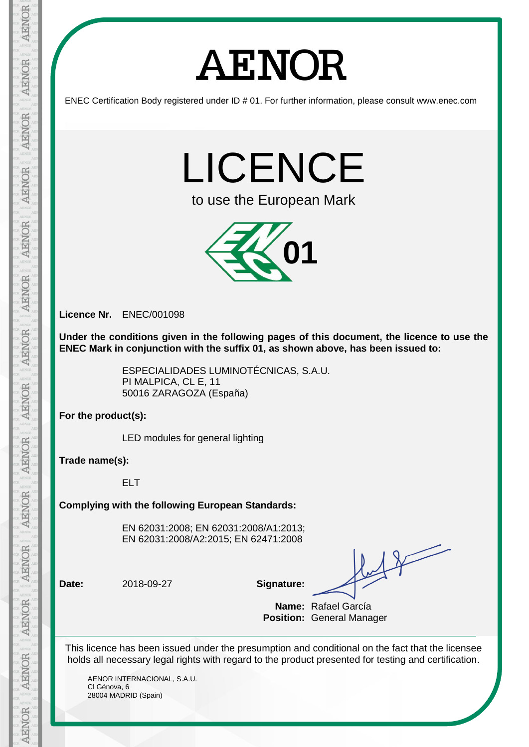## **AENOR**

ENEC Certification Body registered under ID # 01. For further information, please consult www.enec.com

LICENCE

to use the European Mark



**Licence Nr.** ENEC/001098

**Under the conditions given in the following pages of this document, the licence to use the ENEC Mark in conjunction with the suffix 01, as shown above, has been issued to:** 

> ESPECIALIDADES LUMINOTÉCNICAS, S.A.U. PI MALPICA, CL E, 11 50016 ZARAGOZA (España)

**For the product(s):**

LED modules for general lighting

**Trade name(s):**

ELT

**Complying with the following European Standards:**

EN 62031:2008; EN 62031:2008/A1:2013; EN 62031:2008/A2:2015; EN 62471:2008

**Date:** 2018-09-27 **Signature:**

**Name:** Rafael García **Position:** General Manager

This licence has been issued under the presumption and conditional on the fact that the licensee holds all necessary legal rights with regard to the product presented for testing and certification.

AENOR INTERNACIONAL, S.A.U. Cl Génova, 6 28004 MADRID (Spain)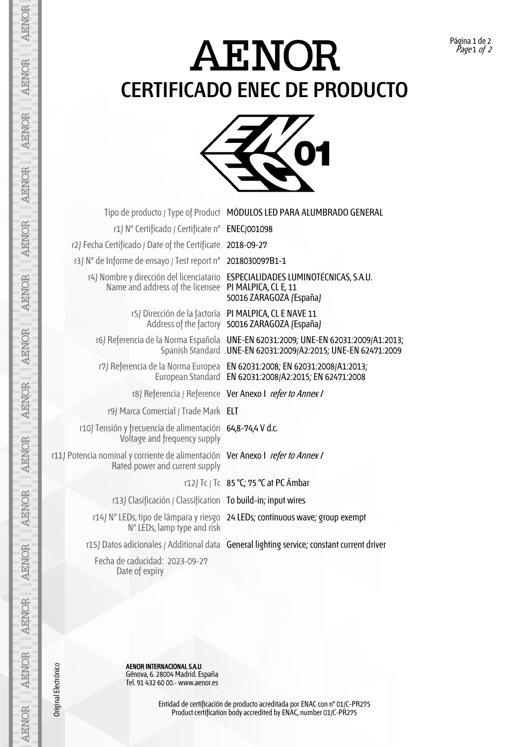## **AENOR CERTIFICADO ENEC DE PRODUCTO**



|                                                                                                                  | Tipo de producto / Type of Product MÓDULOS LED PARA ALUMBRADO GENERAL                                                                              |
|------------------------------------------------------------------------------------------------------------------|----------------------------------------------------------------------------------------------------------------------------------------------------|
| r1) Nº Certificado / Certificate nº ENEC/001098                                                                  |                                                                                                                                                    |
| r2) Fecha Certificado / Date of the Certificate 2018-09-27                                                       |                                                                                                                                                    |
| r3) N° de Informe de ensayo / Test report n° 2018030097B1-1                                                      |                                                                                                                                                    |
| Name and address of the licensee PI MALPICA, CL E, 11                                                            | r4) Nombre y dirección del licenciatario ESPECIALIDADES LUMINOTÉCNICAS, S.A.U.<br>50016 ZARAGOZA (España)                                          |
|                                                                                                                  | r5) Dirección de la factoría PI MALPICA, CL E NAVE 11<br>Address of the factory 50016 ZARAGOZA (España)                                            |
|                                                                                                                  | r6) Referencia de la Norma Española UNE-EN 62031:2009; UNE-EN 62031:2009/A1:2013;<br>Spanish Standard UNE-EN 62031:2009/A2:2015; UNE-EN 62471:2009 |
|                                                                                                                  | r7) Referencia de la Norma Europea EN 62031:2008; EN 62031:2008/A1:2013;<br>European Standard EN 62031:2008/A2:2015; EN 62471:2008                 |
|                                                                                                                  | r8) Referencia / Reference Ver Anexo I refer to Annex /                                                                                            |
| r9) Marca Comercial / Trade Mark ELT                                                                             |                                                                                                                                                    |
| r10) Tensión y frecuencia de alimentación 64,8-74,4 V d.c.<br>Voltage and frequency supply                       |                                                                                                                                                    |
| r11) Potencia nominal y corriente de alimentación Ver Anexo I refer to Annex /<br>Rated power and current supply |                                                                                                                                                    |
|                                                                                                                  | r12) Tc / Tc 85 °C; 75 °C at PC Ambar                                                                                                              |
| r13) Clasificación / Classification To build-in; input wires                                                     |                                                                                                                                                    |
| N° LEDs, lamp type and risk                                                                                      | r14) N° LEDs, tipo de lámpara y riesgo 24 LEDs; continuous wave; group exempt                                                                      |
|                                                                                                                  | r15) Datos adicionales / Additional data General lighting service; constant current driver                                                         |
| Fecha de caducidad: 2023-09-27<br>Date of expiry                                                                 |                                                                                                                                                    |
|                                                                                                                  |                                                                                                                                                    |

**AENOR INTERNACIONAL S.A.U.** AENOR INTERNACIONAL S.A.U. Génova, 6. 28004 Madrid. España Tel. 91 432 60 00.- www.aenor.es

Original Electrónico

**AENOR** 

**AENOR** 

AENOR

AENOR

**AENOR** 

**AENOR** 

**AENOR** 

**AENOR** 

**AENOR** 

AENOR

**AENOR** 

**AENOR** 

AENOR

AENOR

Entidad de certificación de producto acreditada por ENAC con nº 01/C-PR275 Product certification body accredited by ENAC, number 01/C-PR275